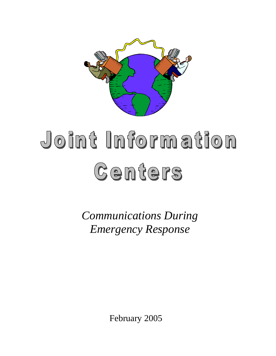

# doint Information Centers

*Communications During Emergency Response*

February 2005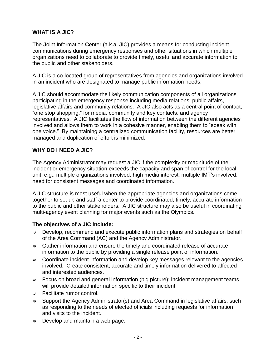## **WHAT IS A JIC?**

The **J**oint **I**nformation **C**enter (a.k.a. JIC) provides a means for conducting incident communications during emergency responses and other situations in which multiple organizations need to collaborate to provide timely, useful and accurate information to the public and other stakeholders.

A JIC is a co-located group of representatives from agencies and organizations involved in an incident who are designated to manage public information needs.

A JIC should accommodate the likely communication components of all organizations participating in the emergency response including media relations, public affairs, legislative affairs and community relations. A JIC also acts as a central point of contact, "one stop shopping," for media, community and key contacts, and agency representatives. A JIC facilitates the flow of information between the different agencies involved and allows them to work in a cohesive manner, enabling them to "speak with one voice." By maintaining a centralized communication facility, resources are better managed and duplication of effort is minimized.

## **WHY DO I NEED A JIC?**

The Agency Administrator may request a JIC if the complexity or magnitude of the incident or emergency situation exceeds the capacity and span of control for the local unit, e.g., multiple organizations involved, high media interest, multiple IMT's involved, need for consistent messages and coordinated information.

A JIC structure is most useful when the appropriate agencies and organizations come together to set up and staff a center to provide coordinated, timely, accurate information to the public and other stakeholders. A JIC structure may also be useful in coordinating multi-agency event planning for major events such as the Olympics.

## **The objectives of a JIC include:**

- $\Rightarrow$  Develop, recommend and execute public information plans and strategies on behalf of the Area Command (AC) and the Agency Administrator.
- $\Rightarrow$  Gather information and ensure the timely and coordinated release of accurate information to the public by providing a single release point of information.
- $\Rightarrow$  Coordinate incident information and develop key messages relevant to the agencies involved. Create consistent, accurate and timely information delivered to affected and interested audiences.
- $\Rightarrow$  Focus on broad and general information (big picture); incident management teams will provide detailed information specific to their incident.
- $\Rightarrow$  Facilitate rumor control.
- $\Rightarrow$  Support the Agency Administrator(s) and Area Command in legislative affairs, such as responding to the needs of elected officials including requests for information and visits to the incident.
- $\Rightarrow$  Develop and maintain a web page.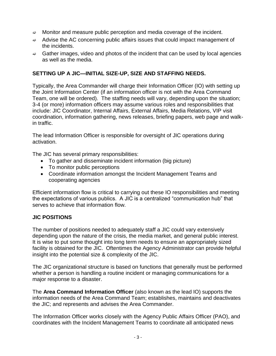- $\Rightarrow$  Monitor and measure public perception and media coverage of the incident.
- $\Rightarrow$  Advise the AC concerning public affairs issues that could impact management of the incidents.
- $\Rightarrow$  Gather images, video and photos of the incident that can be used by local agencies as well as the media.

### **SETTING UP A JIC—INITIAL SIZE-UP, SIZE AND STAFFING NEEDS.**

Typically, the Area Commander will charge their Information Officer (IO) with setting up the Joint Information Center (if an information officer is not with the Area Command Team, one will be ordered). The staffing needs will vary, depending upon the situation; 3-4 (or more) information officers may assume various roles and responsibilities that include: JIC Coordinator, Internal Affairs, External Affairs, Media Relations, VIP visit coordination, information gathering, news releases, briefing papers, web page and walkin traffic.

The lead Information Officer is responsible for oversight of JIC operations during activation.

The JIC has several primary responsibilities:

- To gather and disseminate incident information (big picture)
- To monitor public perceptions
- Coordinate information amongst the Incident Management Teams and cooperating agencies

Efficient information flow is critical to carrying out these IO responsibilities and meeting the expectations of various publics. A JIC is a centralized "communication hub" that serves to achieve that information flow.

#### **JIC POSITIONS**

The number of positions needed to adequately staff a JIC could vary extensively depending upon the nature of the crisis, the media market, and general public interest. It is wise to put some thought into long term needs to ensure an appropriately sized facility is obtained for the JIC. Oftentimes the Agency Administrator can provide helpful insight into the potential size & complexity of the JIC.

The JIC organizational structure is based on functions that generally must be performed whether a person is handling a routine incident or managing communications for a major response to a disaster.

The **Area Command Information Officer** (also known as the lead IO) supports the information needs of the Area Command Team; establishes, maintains and deactivates the JIC; and represents and advises the Area Commander.

The Information Officer works closely with the Agency Public Affairs Officer (PAO), and coordinates with the Incident Management Teams to coordinate all anticipated news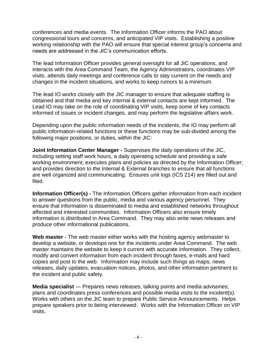conferences and media events. The Information Officer informs the PAO about congressional tours and concerns, and anticipated VIP visits. Establishing a positive working relationship with the PAO will ensure that special interest group's concerns and needs are addressed in the JIC's communication efforts.

The lead Information Officer provides general oversight for all JIC operations, and interacts with the Area Command Team, the Agency Administrators, coordinates VIP visits, attends daily meetings and conference calls to stay current on the needs and changes in the incident situations, and works to keep rumors to a minimum.

The lead IO works closely with the JIC manager to ensure that adequate staffing is obtained and that media and key internal & external contacts are kept informed. The Lead IO may take on the role of coordinating VIP visits, keep some of key contacts informed of issues or incident changes, and may perform the legislative affairs work.

Depending upon the public information needs of the incidents, the IO may perform all public information-related functions or these functions may be sub-divided among the following major positions, or duties, within the JIC:

**Joint Information Center Manager -** Supervises the daily operations of the JIC, including setting staff work hours, a daily operating schedule and providing a safe working environment; executes plans and policies as directed by the Information Officer; and provides direction to the Internal & External branches to ensure that all functions are well organized and communicating. Ensures unit logs (ICS 214) are filled out and filed.

**Information Officer(s) -** The Information Officers gather information from each incident to answer questions from the public, media and various agency personnel. They ensure that information is disseminated to media and established networks throughout affected and interested communities. Information Officers also ensure timely information is distributed in Area Command. They may also write news releases and produce other informational publications.

**Web master** - The web master either works with the hosting agency webmaster to develop a website, or develops one for the incidents under Area Command. The web master maintains the website to keep it current with accurate information. They collect, modify and convert information from each incident through faxes, e-mails and hard copies and post to the web. Information may include such things as maps, news releases, daily updates, evacuation notices, photos, and other information pertinent to the incident and public safety.

**Media specialist** — Prepares news releases, talking points and media advisories; plans and coordinates press conferences and possible media visits to the incident(s). Works with others on the JIC team to prepare Public Service Announcements. Helps prepare speakers prior to being interviewed. Works with the Information Officer on VIP visits.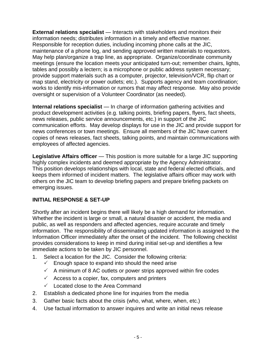**External relations specialist** — Interacts with stakeholders and monitors their information needs; distributes information in a timely and effective manner. Responsible for reception duties, including incoming phone calls at the JIC, maintenance of a phone log, and sending approved written materials to requestors. May help plan/organize a trap line, as appropriate. Organize/coordinate community meetings (ensure the location meets your anticipated turn-out; remember chairs, lights, tables and possibly a lectern; is a microphone or public address system necessary; provide support materials such as a computer, projector, television/VCR, flip chart or map stand, electricity or power outlets; etc.). Supports agency and team coordination; works to identify mis-information or rumors that may affect response. May also provide oversight or supervision of a Volunteer Coordinator (as needed).

**Internal relations specialist** — In charge of information gathering activities and product development activities (e.g. talking points, briefing papers, flyers, fact sheets, news releases, public service announcements, etc.) in support of the JIC communication efforts. May develop displays for use in the JIC and provide support for news conferences or town meetings. Ensure all members of the JIC have current copies of news releases, fact sheets, talking points, and maintain communications with employees of affected agencies.

**Legislative Affairs officer** — This position is more suitable for a large JIC supporting highly complex incidents and deemed appropriate by the Agency Administrator. This position develops relationships with local, state and federal elected officials, and keeps them informed of incident matters. The legislative affairs officer may work with others on the JIC team to develop briefing papers and prepare briefing packets on emerging issues.

# **INITIAL RESPONSE & SET-UP**

Shortly after an incident begins there will likely be a high demand for information. Whether the incident is large or small, a natural disaster or accident, the media and public, as well as responders and affected agencies, require accurate and timely information. The responsibility of disseminating updated information is assigned to the Information Officer immediately after the onset of the incident. The following checklist provides considerations to keep in mind during initial set-up and identifies a few immediate actions to be taken by JIC personnel.

- 1. Select a location for the JIC. Consider the following criteria:
	- $\checkmark$  Enough space to expand into should the need arise
	- $\checkmark$  A minimum of 8 AC outlets or power strips approved within fire codes
	- $\checkmark$  Access to a copier, fax, computers and printers
	- $\checkmark$  Located close to the Area Command
- 2. Establish a dedicated phone line for inquiries from the media
- 3. Gather basic facts about the crisis (who, what, where, when, etc.)
- 4. Use factual information to answer inquires and write an initial news release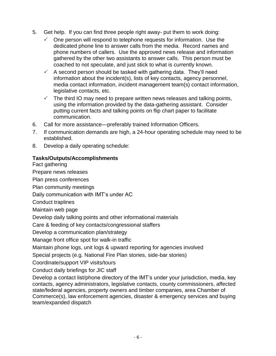- 5. Get help. If you can find three people right away- put them to work doing:
	- One person will respond to telephone requests for information. Use the dedicated phone line to answer calls from the media. Record names and phone numbers of callers. Use the approved news release and information gathered by the other two assistants to answer calls. This person must be coached to not speculate, and just stick to what is currently known.
	- $\checkmark$  A second person should be tasked with gathering data. They'll need information about the incident(s), lists of key contacts, agency personnel, media contact information, incident management team(s) contact information, legislative contacts, etc.
	- $\checkmark$  The third IO may need to prepare written news releases and talking points, using the information provided by the data-gathering assistant. Consider putting current facts and talking points on flip chart paper to facilitate communication.
- 6. Call for more assistance—preferably trained Information Officers.
- 7. If communication demands are high, a 24-hour operating schedule may need to be established.
- 8. Develop a daily operating schedule:

## **Tasks/Outputs/Accomplishments**

Fact gathering

Prepare news releases

Plan press conferences

Plan community meetings

Daily communication with IMT's under AC

Conduct traplines

Maintain web page

Develop daily talking points and other informational materials

Care & feeding of key contacts/congressional staffers

Develop a communication plan/strategy

Manage front office spot for walk-in traffic

Maintain phone logs, unit logs & upward reporting for agencies involved

Special projects (e.g. National Fire Plan stories, side-bar stories)

Coordinate/support VIP visits/tours

Conduct daily briefings for JIC staff

Develop a contact list/phone directory of the IMT's under your jurisdiction, media, key contacts, agency administrators, legislative contacts, county commissioners, affected state/federal agencies, property owners and timber companies, area Chamber of Commerce(s), law enforcement agencies, disaster & emergency services and buying team/expanded dispatch